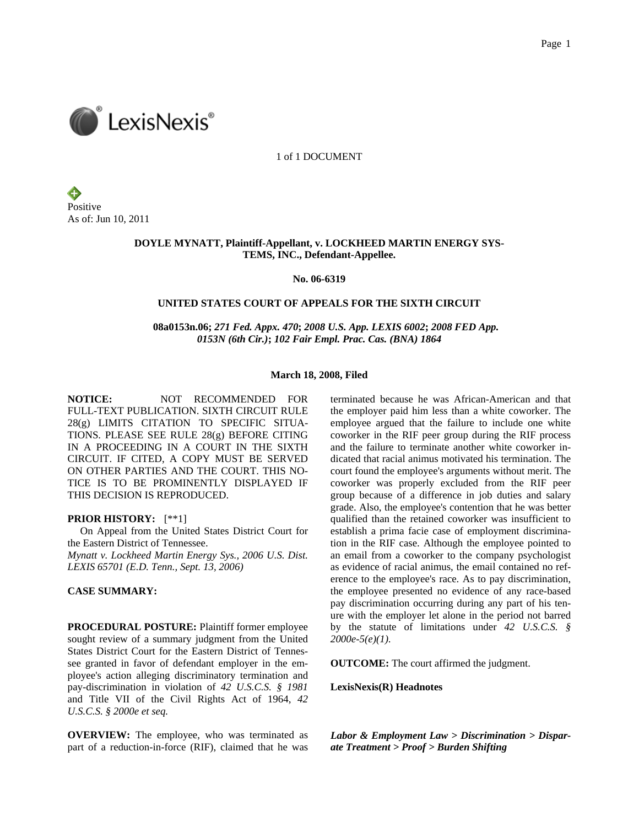

1 of 1 DOCUMENT

Positive As of: Jun 10, 2011

## **DOYLE MYNATT, Plaintiff-Appellant, v. LOCKHEED MARTIN ENERGY SYS-TEMS, INC., Defendant-Appellee.**

**No. 06-6319** 

### **UNITED STATES COURT OF APPEALS FOR THE SIXTH CIRCUIT**

 **08a0153n.06;** *271 Fed. Appx. 470***;** *2008 U.S. App. LEXIS 6002***;** *2008 FED App. 0153N (6th Cir.)***;** *102 Fair Empl. Prac. Cas. (BNA) 1864*

### **March 18, 2008, Filed**

**NOTICE:** NOT RECOMMENDED FOR FULL-TEXT PUBLICATION. SIXTH CIRCUIT RULE 28(g) LIMITS CITATION TO SPECIFIC SITUA-TIONS. PLEASE SEE RULE 28(g) BEFORE CITING IN A PROCEEDING IN A COURT IN THE SIXTH CIRCUIT. IF CITED, A COPY MUST BE SERVED ON OTHER PARTIES AND THE COURT. THIS NO-TICE IS TO BE PROMINENTLY DISPLAYED IF THIS DECISION IS REPRODUCED.

#### **PRIOR HISTORY:** [\*\*1]

 On Appeal from the United States District Court for the Eastern District of Tennessee. *Mynatt v. Lockheed Martin Energy Sys., 2006 U.S. Dist. LEXIS 65701 (E.D. Tenn., Sept. 13, 2006)*

# **CASE SUMMARY:**

**PROCEDURAL POSTURE:** Plaintiff former employee sought review of a summary judgment from the United States District Court for the Eastern District of Tennessee granted in favor of defendant employer in the employee's action alleging discriminatory termination and pay-discrimination in violation of *42 U.S.C.S. § 1981* and Title VII of the Civil Rights Act of 1964, *42 U.S.C.S. § 2000e et seq.*

**OVERVIEW:** The employee, who was terminated as part of a reduction-in-force (RIF), claimed that he was

terminated because he was African-American and that the employer paid him less than a white coworker. The employee argued that the failure to include one white coworker in the RIF peer group during the RIF process and the failure to terminate another white coworker indicated that racial animus motivated his termination. The court found the employee's arguments without merit. The coworker was properly excluded from the RIF peer group because of a difference in job duties and salary grade. Also, the employee's contention that he was better qualified than the retained coworker was insufficient to establish a prima facie case of employment discrimination in the RIF case. Although the employee pointed to an email from a coworker to the company psychologist as evidence of racial animus, the email contained no reference to the employee's race. As to pay discrimination, the employee presented no evidence of any race-based pay discrimination occurring during any part of his tenure with the employer let alone in the period not barred by the statute of limitations under *42 U.S.C.S. § 2000e-5(e)(1)*.

**OUTCOME:** The court affirmed the judgment.

**LexisNexis(R) Headnotes**

*Labor & Employment Law > Discrimination > Disparate Treatment > Proof > Burden Shifting*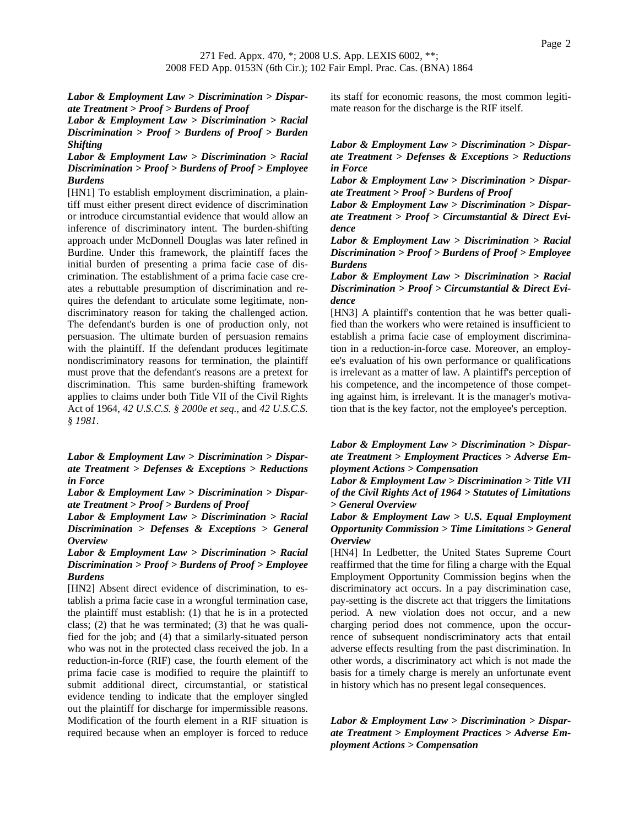*Labor & Employment Law > Discrimination > Disparate Treatment > Proof > Burdens of Proof*

*Labor & Employment Law > Discrimination > Racial Discrimination > Proof > Burdens of Proof > Burden Shifting*

*Labor & Employment Law > Discrimination > Racial Discrimination > Proof > Burdens of Proof > Employee Burdens*

[HN1] To establish employment discrimination, a plaintiff must either present direct evidence of discrimination or introduce circumstantial evidence that would allow an inference of discriminatory intent. The burden-shifting approach under McDonnell Douglas was later refined in Burdine. Under this framework, the plaintiff faces the initial burden of presenting a prima facie case of discrimination. The establishment of a prima facie case creates a rebuttable presumption of discrimination and requires the defendant to articulate some legitimate, nondiscriminatory reason for taking the challenged action. The defendant's burden is one of production only, not persuasion. The ultimate burden of persuasion remains with the plaintiff. If the defendant produces legitimate nondiscriminatory reasons for termination, the plaintiff must prove that the defendant's reasons are a pretext for discrimination. This same burden-shifting framework applies to claims under both Title VII of the Civil Rights Act of 1964, *42 U.S.C.S. § 2000e et seq.*, and *42 U.S.C.S. § 1981*.

*Labor & Employment Law > Discrimination > Disparate Treatment > Defenses & Exceptions > Reductions in Force*

*Labor & Employment Law > Discrimination > Disparate Treatment > Proof > Burdens of Proof*

*Labor & Employment Law > Discrimination > Racial Discrimination > Defenses & Exceptions > General Overview*

*Labor & Employment Law > Discrimination > Racial Discrimination > Proof > Burdens of Proof > Employee Burdens*

[HN2] Absent direct evidence of discrimination, to establish a prima facie case in a wrongful termination case, the plaintiff must establish: (1) that he is in a protected class; (2) that he was terminated; (3) that he was qualified for the job; and (4) that a similarly-situated person who was not in the protected class received the job. In a reduction-in-force (RIF) case, the fourth element of the prima facie case is modified to require the plaintiff to submit additional direct, circumstantial, or statistical evidence tending to indicate that the employer singled out the plaintiff for discharge for impermissible reasons. Modification of the fourth element in a RIF situation is required because when an employer is forced to reduce

its staff for economic reasons, the most common legitimate reason for the discharge is the RIF itself.

*Labor & Employment Law > Discrimination > Disparate Treatment > Defenses & Exceptions > Reductions in Force*

*Labor & Employment Law > Discrimination > Disparate Treatment > Proof > Burdens of Proof*

*Labor & Employment Law > Discrimination > Disparate Treatment > Proof > Circumstantial & Direct Evidence*

*Labor & Employment Law > Discrimination > Racial Discrimination > Proof > Burdens of Proof > Employee Burdens*

*Labor & Employment Law > Discrimination > Racial Discrimination > Proof > Circumstantial & Direct Evidence*

[HN3] A plaintiff's contention that he was better qualified than the workers who were retained is insufficient to establish a prima facie case of employment discrimination in a reduction-in-force case. Moreover, an employee's evaluation of his own performance or qualifications is irrelevant as a matter of law. A plaintiff's perception of his competence, and the incompetence of those competing against him, is irrelevant. It is the manager's motivation that is the key factor, not the employee's perception.

*Labor & Employment Law > Discrimination > Disparate Treatment > Employment Practices > Adverse Employment Actions > Compensation*

*Labor & Employment Law > Discrimination > Title VII of the Civil Rights Act of 1964 > Statutes of Limitations > General Overview*

*Labor & Employment Law > U.S. Equal Employment Opportunity Commission > Time Limitations > General Overview*

[HN4] In Ledbetter, the United States Supreme Court reaffirmed that the time for filing a charge with the Equal Employment Opportunity Commission begins when the discriminatory act occurs. In a pay discrimination case, pay-setting is the discrete act that triggers the limitations period. A new violation does not occur, and a new charging period does not commence, upon the occurrence of subsequent nondiscriminatory acts that entail adverse effects resulting from the past discrimination. In other words, a discriminatory act which is not made the basis for a timely charge is merely an unfortunate event in history which has no present legal consequences.

*Labor & Employment Law > Discrimination > Disparate Treatment > Employment Practices > Adverse Employment Actions > Compensation*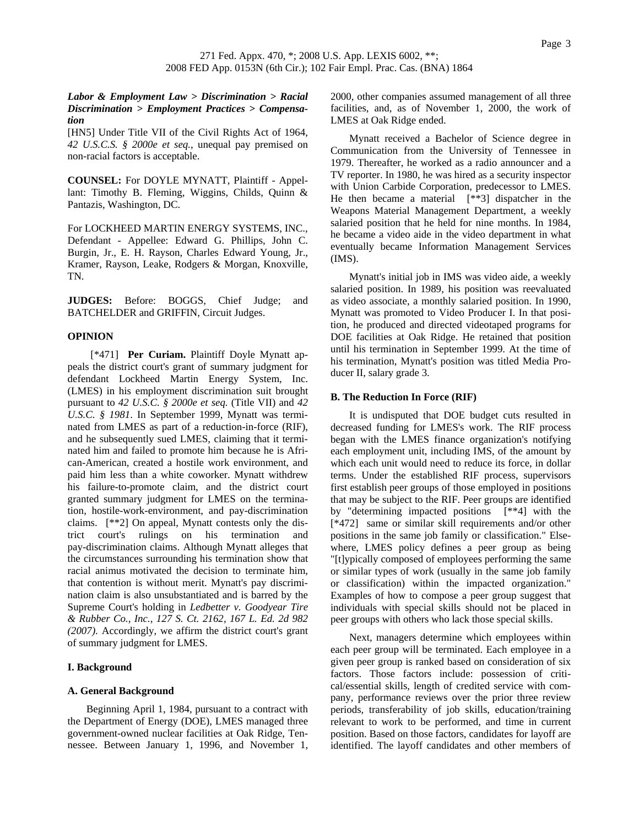### *Labor & Employment Law > Discrimination > Racial Discrimination > Employment Practices > Compensation*

[HN5] Under Title VII of the Civil Rights Act of 1964, *42 U.S.C.S. § 2000e et seq.*, unequal pay premised on non-racial factors is acceptable.

**COUNSEL:** For DOYLE MYNATT, Plaintiff - Appellant: Timothy B. Fleming, Wiggins, Childs, Quinn & Pantazis, Washington, DC.

For LOCKHEED MARTIN ENERGY SYSTEMS, INC., Defendant - Appellee: Edward G. Phillips, John C. Burgin, Jr., E. H. Rayson, Charles Edward Young, Jr., Kramer, Rayson, Leake, Rodgers & Morgan, Knoxville, TN.

**JUDGES:** Before: BOGGS, Chief Judge; and BATCHELDER and GRIFFIN, Circuit Judges.

## **OPINION**

 [\*471] **Per Curiam.** Plaintiff Doyle Mynatt appeals the district court's grant of summary judgment for defendant Lockheed Martin Energy System, Inc. (LMES) in his employment discrimination suit brought pursuant to *42 U.S.C. § 2000e et seq.* (Title VII) and *42 U.S.C. § 1981*. In September 1999, Mynatt was terminated from LMES as part of a reduction-in-force (RIF), and he subsequently sued LMES, claiming that it terminated him and failed to promote him because he is African-American, created a hostile work environment, and paid him less than a white coworker. Mynatt withdrew his failure-to-promote claim, and the district court granted summary judgment for LMES on the termination, hostile-work-environment, and pay-discrimination claims. [\*\*2] On appeal, Mynatt contests only the district court's rulings on his termination and pay-discrimination claims. Although Mynatt alleges that the circumstances surrounding his termination show that racial animus motivated the decision to terminate him, that contention is without merit. Mynatt's pay discrimination claim is also unsubstantiated and is barred by the Supreme Court's holding in *Ledbetter v. Goodyear Tire & Rubber Co., Inc., 127 S. Ct. 2162, 167 L. Ed. 2d 982 (2007)*. Accordingly, we affirm the district court's grant of summary judgment for LMES.

### **I. Background**

### **A. General Background**

Beginning April 1, 1984, pursuant to a contract with the Department of Energy (DOE), LMES managed three government-owned nuclear facilities at Oak Ridge, Tennessee. Between January 1, 1996, and November 1, 2000, other companies assumed management of all three facilities, and, as of November 1, 2000, the work of LMES at Oak Ridge ended.

Mynatt received a Bachelor of Science degree in Communication from the University of Tennessee in 1979. Thereafter, he worked as a radio announcer and a TV reporter. In 1980, he was hired as a security inspector with Union Carbide Corporation, predecessor to LMES. He then became a material [\*\*3] dispatcher in the Weapons Material Management Department, a weekly salaried position that he held for nine months. In 1984, he became a video aide in the video department in what eventually became Information Management Services (IMS).

Mynatt's initial job in IMS was video aide, a weekly salaried position. In 1989, his position was reevaluated as video associate, a monthly salaried position. In 1990, Mynatt was promoted to Video Producer I. In that position, he produced and directed videotaped programs for DOE facilities at Oak Ridge. He retained that position until his termination in September 1999. At the time of his termination, Mynatt's position was titled Media Producer II, salary grade 3.

### **B. The Reduction In Force (RIF)**

It is undisputed that DOE budget cuts resulted in decreased funding for LMES's work. The RIF process began with the LMES finance organization's notifying each employment unit, including IMS, of the amount by which each unit would need to reduce its force, in dollar terms. Under the established RIF process, supervisors first establish peer groups of those employed in positions that may be subject to the RIF. Peer groups are identified by "determining impacted positions [\*\*4] with the [\*472] same or similar skill requirements and/or other positions in the same job family or classification." Elsewhere, LMES policy defines a peer group as being "[t]ypically composed of employees performing the same or similar types of work (usually in the same job family or classification) within the impacted organization." Examples of how to compose a peer group suggest that individuals with special skills should not be placed in peer groups with others who lack those special skills.

Next, managers determine which employees within each peer group will be terminated. Each employee in a given peer group is ranked based on consideration of six factors. Those factors include: possession of critical/essential skills, length of credited service with company, performance reviews over the prior three review periods, transferability of job skills, education/training relevant to work to be performed, and time in current position. Based on those factors, candidates for layoff are identified. The layoff candidates and other members of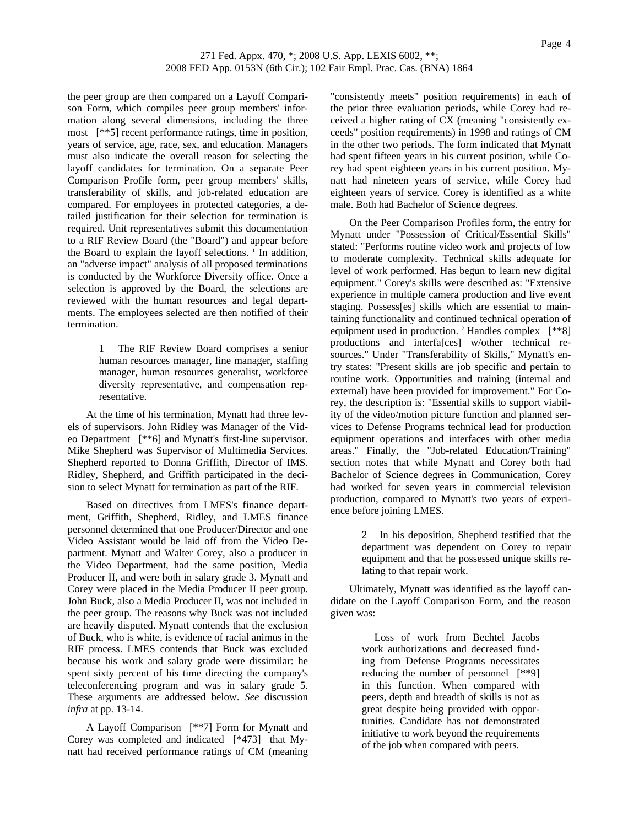the peer group are then compared on a Layoff Comparison Form, which compiles peer group members' information along several dimensions, including the three most [\*\*5] recent performance ratings, time in position, years of service, age, race, sex, and education. Managers must also indicate the overall reason for selecting the layoff candidates for termination. On a separate Peer Comparison Profile form, peer group members' skills, transferability of skills, and job-related education are compared. For employees in protected categories, a detailed justification for their selection for termination is required. Unit representatives submit this documentation to a RIF Review Board (the "Board") and appear before the Board to explain the layoff selections. <sup>1</sup> In addition, an "adverse impact" analysis of all proposed terminations is conducted by the Workforce Diversity office. Once a selection is approved by the Board, the selections are reviewed with the human resources and legal departments. The employees selected are then notified of their termination.

> 1 The RIF Review Board comprises a senior human resources manager, line manager, staffing manager, human resources generalist, workforce diversity representative, and compensation representative.

At the time of his termination, Mynatt had three levels of supervisors. John Ridley was Manager of the Video Department [\*\*6] and Mynatt's first-line supervisor. Mike Shepherd was Supervisor of Multimedia Services. Shepherd reported to Donna Griffith, Director of IMS. Ridley, Shepherd, and Griffith participated in the decision to select Mynatt for termination as part of the RIF.

Based on directives from LMES's finance department, Griffith, Shepherd, Ridley, and LMES finance personnel determined that one Producer/Director and one Video Assistant would be laid off from the Video Department. Mynatt and Walter Corey, also a producer in the Video Department, had the same position, Media Producer II, and were both in salary grade 3. Mynatt and Corey were placed in the Media Producer II peer group. John Buck, also a Media Producer II, was not included in the peer group. The reasons why Buck was not included are heavily disputed. Mynatt contends that the exclusion of Buck, who is white, is evidence of racial animus in the RIF process. LMES contends that Buck was excluded because his work and salary grade were dissimilar: he spent sixty percent of his time directing the company's teleconferencing program and was in salary grade 5. These arguments are addressed below. *See* discussion *infra* at pp. 13-14.

A Layoff Comparison [\*\*7] Form for Mynatt and Corey was completed and indicated [\*473] that Mynatt had received performance ratings of CM (meaning

"consistently meets" position requirements) in each of the prior three evaluation periods, while Corey had received a higher rating of CX (meaning "consistently exceeds" position requirements) in 1998 and ratings of CM in the other two periods. The form indicated that Mynatt had spent fifteen years in his current position, while Corey had spent eighteen years in his current position. Mynatt had nineteen years of service, while Corey had eighteen years of service. Corey is identified as a white male. Both had Bachelor of Science degrees.

On the Peer Comparison Profiles form, the entry for Mynatt under "Possession of Critical/Essential Skills" stated: "Performs routine video work and projects of low to moderate complexity. Technical skills adequate for level of work performed. Has begun to learn new digital equipment." Corey's skills were described as: "Extensive experience in multiple camera production and live event staging. Possess[es] skills which are essential to maintaining functionality and continued technical operation of equipment used in production. <sup>2</sup> Handles complex [\*\*8] productions and interfa[ces] w/other technical resources." Under "Transferability of Skills," Mynatt's entry states: "Present skills are job specific and pertain to routine work. Opportunities and training (internal and external) have been provided for improvement." For Corey, the description is: "Essential skills to support viability of the video/motion picture function and planned services to Defense Programs technical lead for production equipment operations and interfaces with other media areas." Finally, the "Job-related Education/Training" section notes that while Mynatt and Corey both had Bachelor of Science degrees in Communication, Corey had worked for seven years in commercial television production, compared to Mynatt's two years of experience before joining LMES.

> 2 In his deposition, Shepherd testified that the department was dependent on Corey to repair equipment and that he possessed unique skills relating to that repair work.

Ultimately, Mynatt was identified as the layoff candidate on the Layoff Comparison Form, and the reason given was:

> Loss of work from Bechtel Jacobs work authorizations and decreased funding from Defense Programs necessitates reducing the number of personnel [\*\*9] in this function. When compared with peers, depth and breadth of skills is not as great despite being provided with opportunities. Candidate has not demonstrated initiative to work beyond the requirements of the job when compared with peers.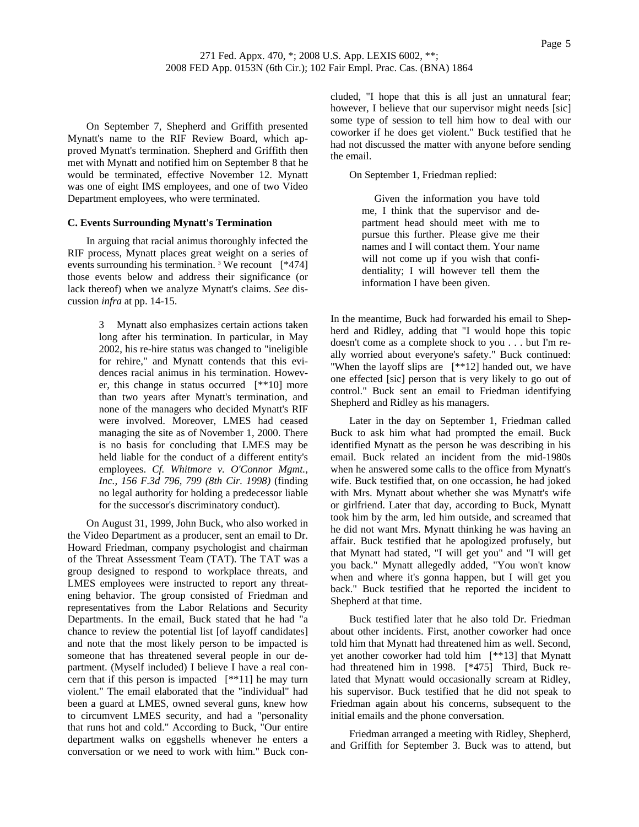On September 7, Shepherd and Griffith presented Mynatt's name to the RIF Review Board, which approved Mynatt's termination. Shepherd and Griffith then met with Mynatt and notified him on September 8 that he would be terminated, effective November 12. Mynatt was one of eight IMS employees, and one of two Video Department employees, who were terminated.

### **C. Events Surrounding Mynatt's Termination**

In arguing that racial animus thoroughly infected the RIF process, Mynatt places great weight on a series of events surrounding his termination.<sup>3</sup> We recount  $[*474]$ those events below and address their significance (or lack thereof) when we analyze Mynatt's claims. *See* discussion *infra* at pp. 14-15.

> 3 Mynatt also emphasizes certain actions taken long after his termination. In particular, in May 2002, his re-hire status was changed to "ineligible for rehire," and Mynatt contends that this evidences racial animus in his termination. However, this change in status occurred [\*\*10] more than two years after Mynatt's termination, and none of the managers who decided Mynatt's RIF were involved. Moreover, LMES had ceased managing the site as of November 1, 2000. There is no basis for concluding that LMES may be held liable for the conduct of a different entity's employees. *Cf. Whitmore v. O'Connor Mgmt., Inc., 156 F.3d 796, 799 (8th Cir. 1998)* (finding no legal authority for holding a predecessor liable for the successor's discriminatory conduct).

On August 31, 1999, John Buck, who also worked in the Video Department as a producer, sent an email to Dr. Howard Friedman, company psychologist and chairman of the Threat Assessment Team (TAT). The TAT was a group designed to respond to workplace threats, and LMES employees were instructed to report any threatening behavior. The group consisted of Friedman and representatives from the Labor Relations and Security Departments. In the email, Buck stated that he had "a chance to review the potential list [of layoff candidates] and note that the most likely person to be impacted is someone that has threatened several people in our department. (Myself included) I believe I have a real concern that if this person is impacted [\*\*11] he may turn violent." The email elaborated that the "individual" had been a guard at LMES, owned several guns, knew how to circumvent LMES security, and had a "personality that runs hot and cold." According to Buck, "Our entire department walks on eggshells whenever he enters a conversation or we need to work with him." Buck concluded, "I hope that this is all just an unnatural fear; however, I believe that our supervisor might needs [sic] some type of session to tell him how to deal with our coworker if he does get violent." Buck testified that he had not discussed the matter with anyone before sending the email.

On September 1, Friedman replied:

 Given the information you have told me, I think that the supervisor and department head should meet with me to pursue this further. Please give me their names and I will contact them. Your name will not come up if you wish that confidentiality; I will however tell them the information I have been given.

In the meantime, Buck had forwarded his email to Shepherd and Ridley, adding that "I would hope this topic doesn't come as a complete shock to you . . . but I'm really worried about everyone's safety." Buck continued: "When the layoff slips are [\*\*12] handed out, we have one effected [sic] person that is very likely to go out of control." Buck sent an email to Friedman identifying Shepherd and Ridley as his managers.

Later in the day on September 1, Friedman called Buck to ask him what had prompted the email. Buck identified Mynatt as the person he was describing in his email. Buck related an incident from the mid-1980s when he answered some calls to the office from Mynatt's wife. Buck testified that, on one occassion, he had joked with Mrs. Mynatt about whether she was Mynatt's wife or girlfriend. Later that day, according to Buck, Mynatt took him by the arm, led him outside, and screamed that he did not want Mrs. Mynatt thinking he was having an affair. Buck testified that he apologized profusely, but that Mynatt had stated, "I will get you" and "I will get you back." Mynatt allegedly added, "You won't know when and where it's gonna happen, but I will get you back." Buck testified that he reported the incident to Shepherd at that time.

Buck testified later that he also told Dr. Friedman about other incidents. First, another coworker had once told him that Mynatt had threatened him as well. Second, yet another coworker had told him [\*\*13] that Mynatt had threatened him in 1998. [\*475] Third, Buck related that Mynatt would occasionally scream at Ridley, his supervisor. Buck testified that he did not speak to Friedman again about his concerns, subsequent to the initial emails and the phone conversation.

Friedman arranged a meeting with Ridley, Shepherd, and Griffith for September 3. Buck was to attend, but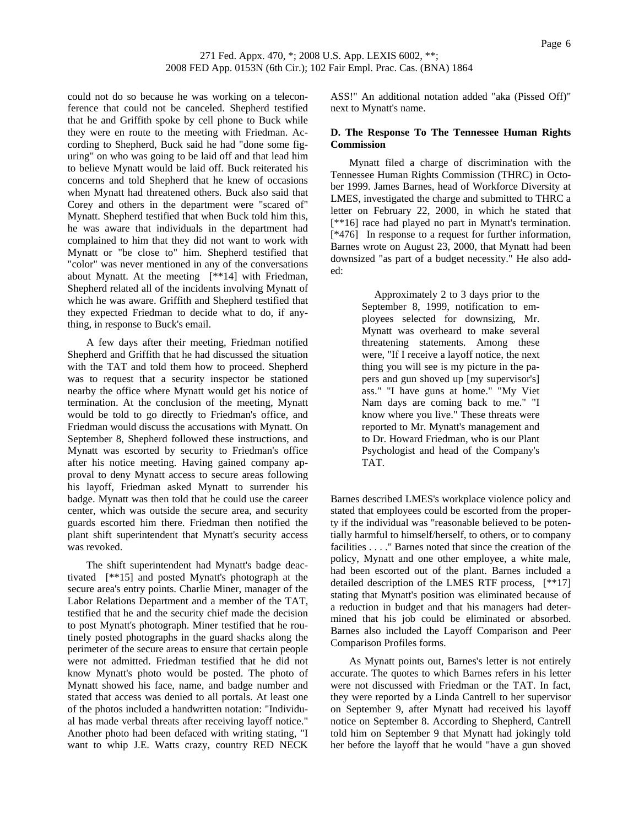could not do so because he was working on a teleconference that could not be canceled. Shepherd testified that he and Griffith spoke by cell phone to Buck while they were en route to the meeting with Friedman. According to Shepherd, Buck said he had "done some figuring" on who was going to be laid off and that lead him to believe Mynatt would be laid off. Buck reiterated his concerns and told Shepherd that he knew of occasions when Mynatt had threatened others. Buck also said that Corey and others in the department were "scared of" Mynatt. Shepherd testified that when Buck told him this, he was aware that individuals in the department had complained to him that they did not want to work with Mynatt or "be close to" him. Shepherd testified that "color" was never mentioned in any of the conversations about Mynatt. At the meeting [\*\*14] with Friedman, Shepherd related all of the incidents involving Mynatt of which he was aware. Griffith and Shepherd testified that they expected Friedman to decide what to do, if anything, in response to Buck's email.

A few days after their meeting, Friedman notified Shepherd and Griffith that he had discussed the situation with the TAT and told them how to proceed. Shepherd was to request that a security inspector be stationed nearby the office where Mynatt would get his notice of termination. At the conclusion of the meeting, Mynatt would be told to go directly to Friedman's office, and Friedman would discuss the accusations with Mynatt. On September 8, Shepherd followed these instructions, and Mynatt was escorted by security to Friedman's office after his notice meeting. Having gained company approval to deny Mynatt access to secure areas following his layoff, Friedman asked Mynatt to surrender his badge. Mynatt was then told that he could use the career center, which was outside the secure area, and security guards escorted him there. Friedman then notified the plant shift superintendent that Mynatt's security access was revoked.

The shift superintendent had Mynatt's badge deactivated [\*\*15] and posted Mynatt's photograph at the secure area's entry points. Charlie Miner, manager of the Labor Relations Department and a member of the TAT, testified that he and the security chief made the decision to post Mynatt's photograph. Miner testified that he routinely posted photographs in the guard shacks along the perimeter of the secure areas to ensure that certain people were not admitted. Friedman testified that he did not know Mynatt's photo would be posted. The photo of Mynatt showed his face, name, and badge number and stated that access was denied to all portals. At least one of the photos included a handwritten notation: "Individual has made verbal threats after receiving layoff notice." Another photo had been defaced with writing stating, "I want to whip J.E. Watts crazy, country RED NECK

ASS!" An additional notation added "aka (Pissed Off)" next to Mynatt's name.

### **D. The Response To The Tennessee Human Rights Commission**

Mynatt filed a charge of discrimination with the Tennessee Human Rights Commission (THRC) in October 1999. James Barnes, head of Workforce Diversity at LMES, investigated the charge and submitted to THRC a letter on February 22, 2000, in which he stated that [\*\*16] race had played no part in Mynatt's termination. [\*476] In response to a request for further information, Barnes wrote on August 23, 2000, that Mynatt had been downsized "as part of a budget necessity." He also added:

> Approximately 2 to 3 days prior to the September 8, 1999, notification to employees selected for downsizing, Mr. Mynatt was overheard to make several threatening statements. Among these were, "If I receive a layoff notice, the next thing you will see is my picture in the papers and gun shoved up [my supervisor's] ass." "I have guns at home." "My Viet Nam days are coming back to me." "I know where you live." These threats were reported to Mr. Mynatt's management and to Dr. Howard Friedman, who is our Plant Psychologist and head of the Company's TAT.

Barnes described LMES's workplace violence policy and stated that employees could be escorted from the property if the individual was "reasonable believed to be potentially harmful to himself/herself, to others, or to company facilities . . . ." Barnes noted that since the creation of the policy, Mynatt and one other employee, a white male, had been escorted out of the plant. Barnes included a detailed description of the LMES RTF process, [\*\*17] stating that Mynatt's position was eliminated because of a reduction in budget and that his managers had determined that his job could be eliminated or absorbed. Barnes also included the Layoff Comparison and Peer Comparison Profiles forms.

As Mynatt points out, Barnes's letter is not entirely accurate. The quotes to which Barnes refers in his letter were not discussed with Friedman or the TAT. In fact, they were reported by a Linda Cantrell to her supervisor on September 9, after Mynatt had received his layoff notice on September 8. According to Shepherd, Cantrell told him on September 9 that Mynatt had jokingly told her before the layoff that he would "have a gun shoved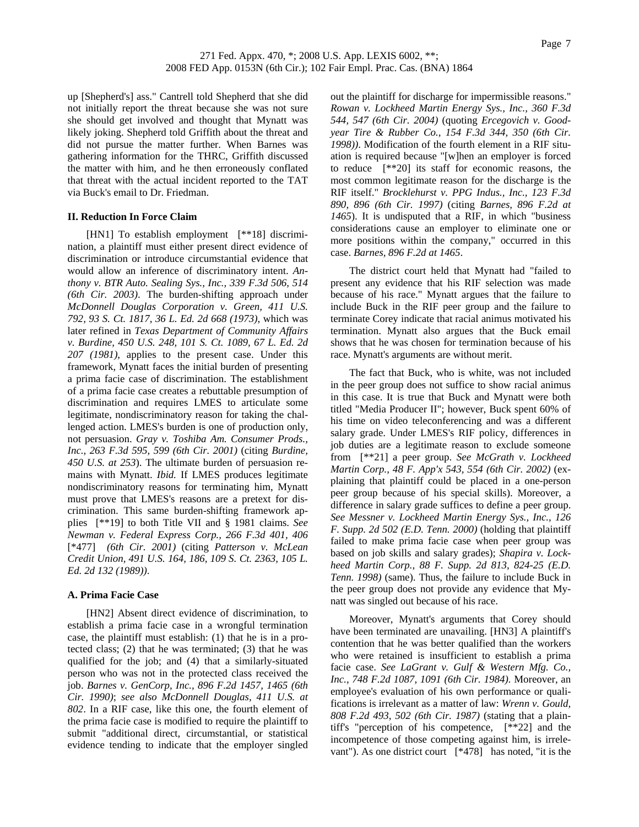up [Shepherd's] ass." Cantrell told Shepherd that she did not initially report the threat because she was not sure she should get involved and thought that Mynatt was likely joking. Shepherd told Griffith about the threat and did not pursue the matter further. When Barnes was gathering information for the THRC, Griffith discussed the matter with him, and he then erroneously conflated that threat with the actual incident reported to the TAT via Buck's email to Dr. Friedman.

### **II. Reduction In Force Claim**

[HN1] To establish employment [\*\*18] discrimination, a plaintiff must either present direct evidence of discrimination or introduce circumstantial evidence that would allow an inference of discriminatory intent. *Anthony v. BTR Auto. Sealing Sys., Inc., 339 F.3d 506, 514 (6th Cir. 2003)*. The burden-shifting approach under *McDonnell Douglas Corporation v. Green, 411 U.S. 792, 93 S. Ct. 1817, 36 L. Ed. 2d 668 (1973)*, which was later refined in *Texas Department of Community Affairs v. Burdine, 450 U.S. 248, 101 S. Ct. 1089, 67 L. Ed. 2d 207 (1981)*, applies to the present case. Under this framework, Mynatt faces the initial burden of presenting a prima facie case of discrimination. The establishment of a prima facie case creates a rebuttable presumption of discrimination and requires LMES to articulate some legitimate, nondiscriminatory reason for taking the challenged action. LMES's burden is one of production only, not persuasion. *Gray v. Toshiba Am. Consumer Prods., Inc., 263 F.3d 595, 599 (6th Cir. 2001)* (citing *Burdine, 450 U.S. at 253*). The ultimate burden of persuasion remains with Mynatt. *Ibid.* If LMES produces legitimate nondiscriminatory reasons for terminating him, Mynatt must prove that LMES's reasons are a pretext for discrimination. This same burden-shifting framework applies [\*\*19] to both Title VII and § 1981 claims. *See Newman v. Federal Express Corp., 266 F.3d 401, 406*  [\*477] *(6th Cir. 2001)* (citing *Patterson v. McLean Credit Union, 491 U.S. 164, 186, 109 S. Ct. 2363, 105 L. Ed. 2d 132 (1989))*.

### **A. Prima Facie Case**

[HN2] Absent direct evidence of discrimination, to establish a prima facie case in a wrongful termination case, the plaintiff must establish: (1) that he is in a protected class; (2) that he was terminated; (3) that he was qualified for the job; and (4) that a similarly-situated person who was not in the protected class received the job. *Barnes v. GenCorp, Inc., 896 F.2d 1457, 1465 (6th Cir. 1990)*; *see also McDonnell Douglas, 411 U.S. at 802*. In a RIF case, like this one, the fourth element of the prima facie case is modified to require the plaintiff to submit "additional direct, circumstantial, or statistical evidence tending to indicate that the employer singled out the plaintiff for discharge for impermissible reasons." *Rowan v. Lockheed Martin Energy Sys., Inc., 360 F.3d 544, 547 (6th Cir. 2004)* (quoting *Ercegovich v. Goodyear Tire & Rubber Co., 154 F.3d 344, 350 (6th Cir. 1998))*. Modification of the fourth element in a RIF situation is required because "[w]hen an employer is forced to reduce [\*\*20] its staff for economic reasons, the most common legitimate reason for the discharge is the RIF itself." *Brocklehurst v. PPG Indus., Inc., 123 F.3d 890, 896 (6th Cir. 1997)* (citing *Barnes, 896 F.2d at 1465*). It is undisputed that a RIF, in which "business considerations cause an employer to eliminate one or more positions within the company," occurred in this case. *Barnes, 896 F.2d at 1465*.

The district court held that Mynatt had "failed to present any evidence that his RIF selection was made because of his race." Mynatt argues that the failure to include Buck in the RIF peer group and the failure to terminate Corey indicate that racial animus motivated his termination. Mynatt also argues that the Buck email shows that he was chosen for termination because of his race. Mynatt's arguments are without merit.

The fact that Buck, who is white, was not included in the peer group does not suffice to show racial animus in this case. It is true that Buck and Mynatt were both titled "Media Producer II"; however, Buck spent 60% of his time on video teleconferencing and was a different salary grade. Under LMES's RIF policy, differences in job duties are a legitimate reason to exclude someone from [\*\*21] a peer group. *See McGrath v. Lockheed Martin Corp., 48 F. App'x 543, 554 (6th Cir. 2002)* (explaining that plaintiff could be placed in a one-person peer group because of his special skills). Moreover, a difference in salary grade suffices to define a peer group. *See Messner v. Lockheed Martin Energy Sys., Inc., 126 F. Supp. 2d 502 (E.D. Tenn. 2000)* (holding that plaintiff failed to make prima facie case when peer group was based on job skills and salary grades); *Shapira v. Lockheed Martin Corp., 88 F. Supp. 2d 813, 824-25 (E.D. Tenn. 1998)* (same). Thus, the failure to include Buck in the peer group does not provide any evidence that Mynatt was singled out because of his race.

Moreover, Mynatt's arguments that Corey should have been terminated are unavailing. [HN3] A plaintiff's contention that he was better qualified than the workers who were retained is insufficient to establish a prima facie case. *See LaGrant v. Gulf & Western Mfg. Co., Inc., 748 F.2d 1087, 1091 (6th Cir. 1984)*. Moreover, an employee's evaluation of his own performance or qualifications is irrelevant as a matter of law: *Wrenn v. Gould, 808 F.2d 493, 502 (6th Cir. 1987)* (stating that a plaintiff's "perception of his competence, [\*\*22] and the incompetence of those competing against him, is irrelevant"). As one district court [\*478] has noted, "it is the